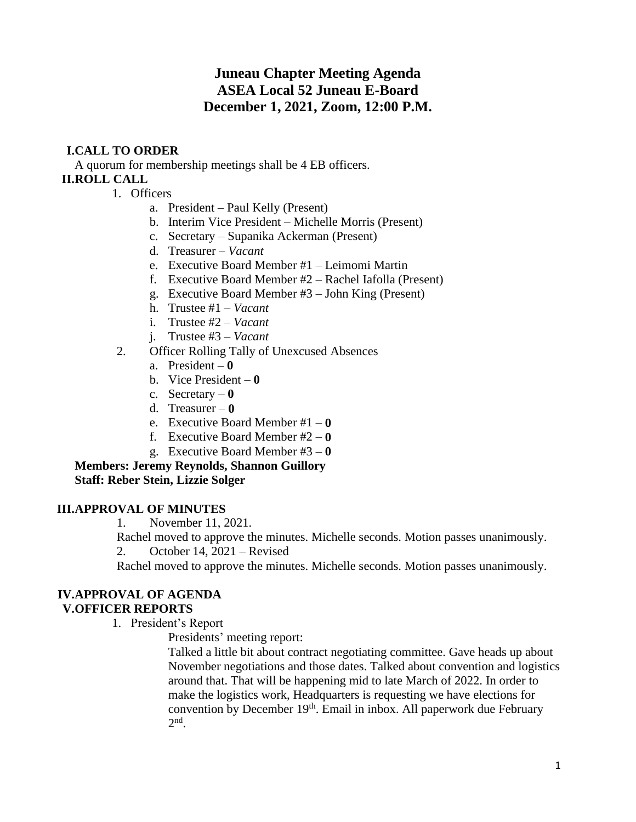### **Juneau Chapter Meeting Agenda ASEA Local 52 Juneau E-Board December 1, 2021, Zoom, 12:00 P.M.**

### **I.CALL TO ORDER**

A quorum for membership meetings shall be 4 EB officers. **II.ROLL CALL**

- 1. Officers
	- a. President Paul Kelly (Present)
	- b. Interim Vice President Michelle Morris (Present)
	- c. Secretary Supanika Ackerman (Present)
	- d. Treasurer *Vacant*
	- e. Executive Board Member #1 Leimomi Martin
	- f. Executive Board Member #2 Rachel Iafolla (Present)
	- g. Executive Board Member #3 John King (Present)
	- h. Trustee #1 *Vacant*
	- i. Trustee #2 *Vacant*
	- j. Trustee #3 *Vacant*
- 2. Officer Rolling Tally of Unexcused Absences
	- a. President **0**
	- b. Vice President **0**
	- c. Secretary **0**
	- d. Treasurer **0**
	- e. Executive Board Member #1 **0**
	- f. Executive Board Member #2 **0**
	- g. Executive Board Member #3 **0**

**Members: Jeremy Reynolds, Shannon Guillory Staff: Reber Stein, Lizzie Solger**

#### **III.APPROVAL OF MINUTES**

1. November 11, 2021.

Rachel moved to approve the minutes. Michelle seconds. Motion passes unanimously.

2. October 14, 2021 – Revised

Rachel moved to approve the minutes. Michelle seconds. Motion passes unanimously.

# **IV.APPROVAL OF AGENDA**

### **V.OFFICER REPORTS**

- 1. President's Report
	- Presidents' meeting report:

Talked a little bit about contract negotiating committee. Gave heads up about November negotiations and those dates. Talked about convention and logistics around that. That will be happening mid to late March of 2022. In order to make the logistics work, Headquarters is requesting we have elections for convention by December 19th. Email in inbox. All paperwork due February  $2<sup>nd</sup>$ .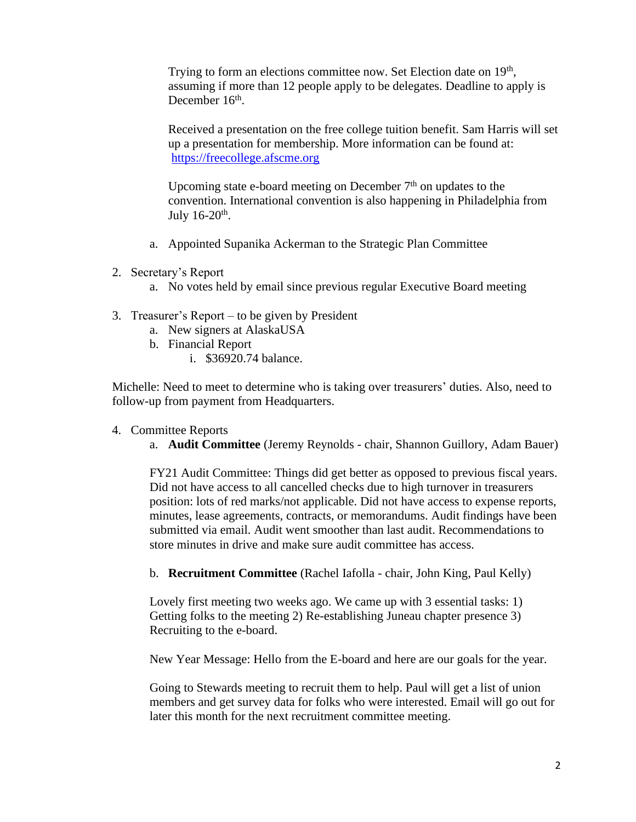Trying to form an elections committee now. Set Election date on 19<sup>th</sup>, assuming if more than 12 people apply to be delegates. Deadline to apply is December 16<sup>th</sup>.

Received a presentation on the free college tuition benefit. Sam Harris will set up a presentation for membership. More information can be found at: [https://freecollege.afscme.org](https://freecollege.afscme.org/)

Upcoming state e-board meeting on December  $7<sup>th</sup>$  on updates to the convention. International convention is also happening in Philadelphia from July  $16-20$ <sup>th</sup>.

- a. Appointed Supanika Ackerman to the Strategic Plan Committee
- 2. Secretary's Report
	- a. No votes held by email since previous regular Executive Board meeting
- 3. Treasurer's Report to be given by President
	- a. New signers at AlaskaUSA
	- b. Financial Report
		- i. \$36920.74 balance.

Michelle: Need to meet to determine who is taking over treasurers' duties. Also, need to follow-up from payment from Headquarters.

- 4. Committee Reports
	- a. **Audit Committee** (Jeremy Reynolds chair, Shannon Guillory, Adam Bauer)

FY21 Audit Committee: Things did get better as opposed to previous fiscal years. Did not have access to all cancelled checks due to high turnover in treasurers position: lots of red marks/not applicable. Did not have access to expense reports, minutes, lease agreements, contracts, or memorandums. Audit findings have been submitted via email. Audit went smoother than last audit. Recommendations to store minutes in drive and make sure audit committee has access.

b. **Recruitment Committee** (Rachel Iafolla - chair, John King, Paul Kelly)

Lovely first meeting two weeks ago. We came up with 3 essential tasks: 1) Getting folks to the meeting 2) Re-establishing Juneau chapter presence 3) Recruiting to the e-board.

New Year Message: Hello from the E-board and here are our goals for the year.

Going to Stewards meeting to recruit them to help. Paul will get a list of union members and get survey data for folks who were interested. Email will go out for later this month for the next recruitment committee meeting.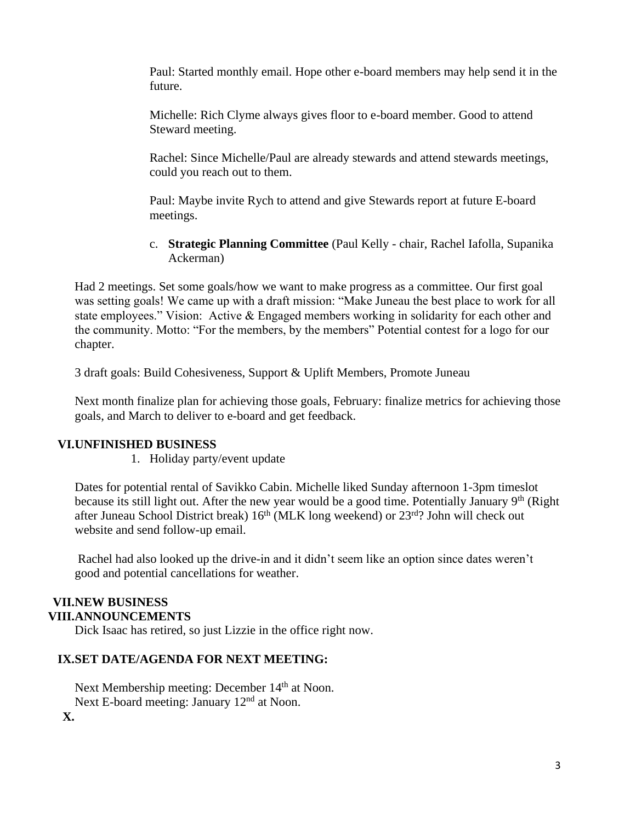Paul: Started monthly email. Hope other e-board members may help send it in the future.

Michelle: Rich Clyme always gives floor to e-board member. Good to attend Steward meeting.

Rachel: Since Michelle/Paul are already stewards and attend stewards meetings, could you reach out to them.

Paul: Maybe invite Rych to attend and give Stewards report at future E-board meetings.

c. **Strategic Planning Committee** (Paul Kelly - chair, Rachel Iafolla, Supanika Ackerman)

Had 2 meetings. Set some goals/how we want to make progress as a committee. Our first goal was setting goals! We came up with a draft mission: "Make Juneau the best place to work for all state employees." Vision: Active & Engaged members working in solidarity for each other and the community. Motto: "For the members, by the members" Potential contest for a logo for our chapter.

3 draft goals: Build Cohesiveness, Support & Uplift Members, Promote Juneau

Next month finalize plan for achieving those goals, February: finalize metrics for achieving those goals, and March to deliver to e-board and get feedback.

### **VI.UNFINISHED BUSINESS**

1. Holiday party/event update

Dates for potential rental of Savikko Cabin. Michelle liked Sunday afternoon 1-3pm timeslot because its still light out. After the new year would be a good time. Potentially January 9<sup>th</sup> (Right after Juneau School District break)  $16<sup>th</sup>$  (MLK long weekend) or  $23<sup>rd</sup>$ ? John will check out website and send follow-up email.

Rachel had also looked up the drive-in and it didn't seem like an option since dates weren't good and potential cancellations for weather.

## **VII.NEW BUSINESS**

### **VIII.ANNOUNCEMENTS**

Dick Isaac has retired, so just Lizzie in the office right now.

### **IX.SET DATE/AGENDA FOR NEXT MEETING:**

Next Membership meeting: December 14<sup>th</sup> at Noon. Next E-board meeting: January 12<sup>nd</sup> at Noon.

**X.**